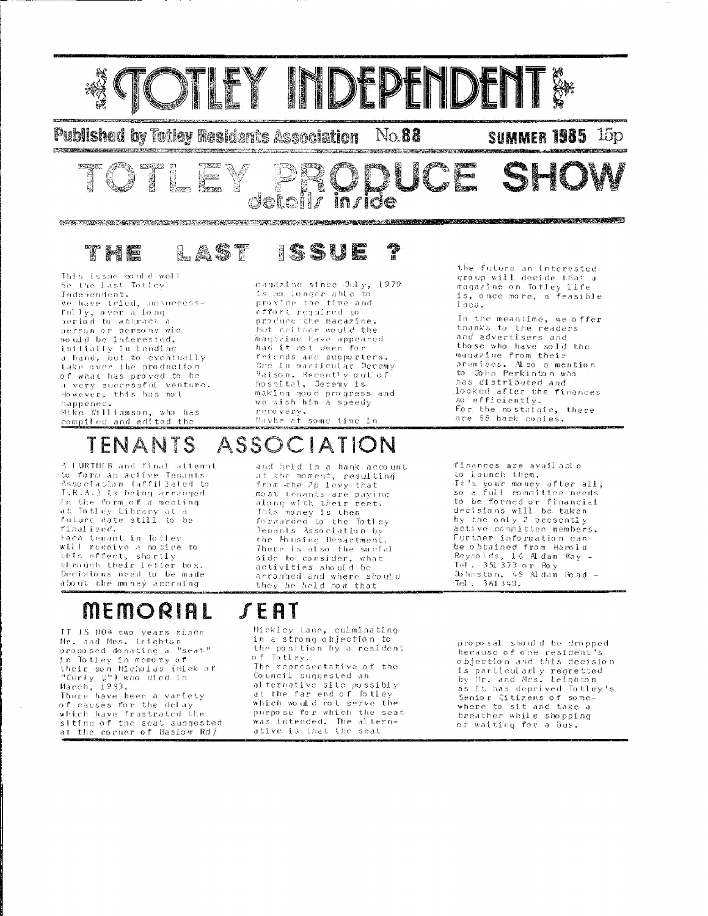

in ride

**Published by Totley Residents Association** 

र महत्त्व

|<br>|इंडरलहरू ार्थ<br>जिल्लामा No.88

**SUMMER 1985** 15<sub>p</sub>

DE SH 

#### LAST 1SSU**P**

detoi

This issue could well be the last Totley Independent. We have tried, unsuccessfully, sver a long period to abbract a person or persons who would be interested, initially in lending a hand, but to eventually take over the production of what has proved to be a very successful venture. However, this has not hannened. Mike Williamson, who has compiled and edited the

2236,222

magazine since July, 1979 is no longer able to provide the time and effort required to produce the magazine. But neither would the magazine have appeared had it not been for friends and supporters. One in particular Decemy Walson, Recently out of hossital, Jeremy is making good progress and<br>we wish him a speedy recovery.<br>Maybe et some time in

#### the future an interested group will decide that a magazine on Totley life is, once more, a feasible idea.

In the meantime, we offer thanks to the readers and advertisers and those who have sold the magazine from their<br>magazine from their<br>premises. Also a mention to John Perkinton who has distributed and looked after the finances so efficiently. For the nostalgic, there are 58 back copies.

## TENANTS ASSOCIATION

A LURTHLR and final attempt o ronnoù anv rroaz arrem)<br>50 form an aetive Tenants<br>Association (affiliated to T.R.A.) is being arranged in the form of a mecling an the Bin of a medicin<br>at Totley Library at a<br>future date still to be finalised. Fach tenant in Totley will receive a notice to this effect, shortly through their letter box.

Decisions need to be made about the money accruing

## **MEMORIAL**

IT IS NOW two years since Mr. and Mrs. Leighton<br>proposed donating a "seat" proposed donating a "seat"<br>in Totley in memory of<br>their son Nicholas (Nick of<br>"Curiy Q") who died in<br>March, 1983.<br>There have been a variety<br>of causes for the dolay.

which have frustrated the siting of the seat suggested<br>at the corner of Basiow Rd/ and held in a hank account at the moment, resulting from the 2p levy that most tenants are paying<br>along with their rent. This money is then forwarded to the Totley Tenants Association by the Housing Department. There is also the social side to consider, what activities should be arranged and where should they be held now that

finances are available to launch them. It's your money after all,<br>so a full committee needs. to be formed or financial decisións will be taken by the only 2 presently active committee members. Further information can be obtained from Harold Reynolds, 16 Aldam Way -Tel. 351 373 or Roy Johnston, 48 Aldam Road -Tel.  $361349.$ 

## $f$ EAT

Mickley Lane, culminating in a strong objection to the. position by a resident of Totley. The representative of the Council suggested an alternative site possibly at the far end of Totley which would not serve the purpose for which the seat was intended. The allern-<br>ative is that the scat

proposal should be dropped because of one resident's objection and this decision is particularly regretted<br>by Mr. and Mrs. Leighton as it has deprived Totley's Semior Citizens of somewhere to sit and take a breather while shopping or watting for a bus.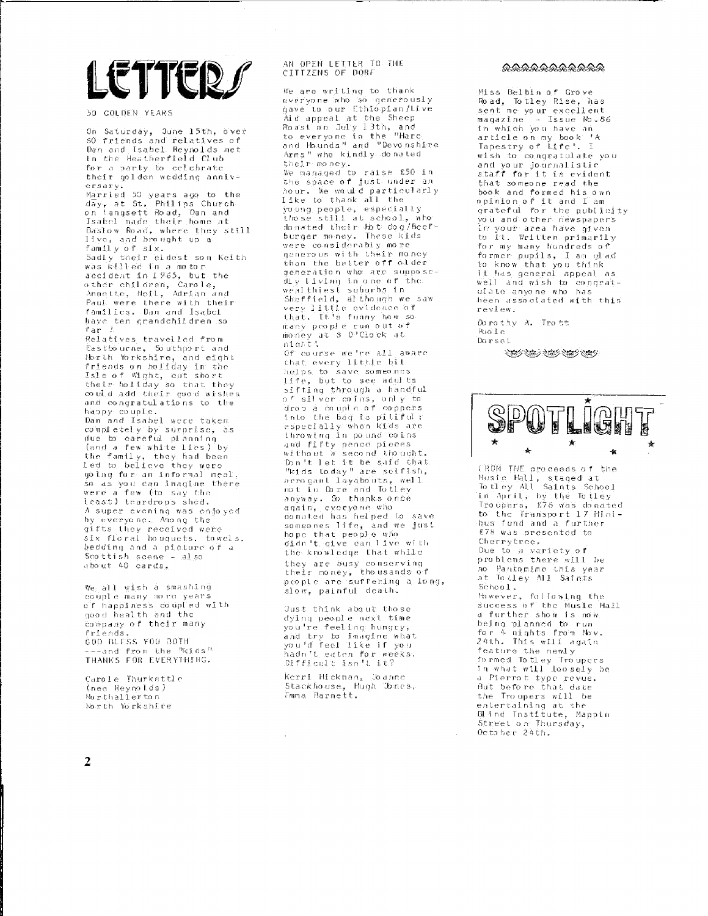# **ETTER**

50 COLDEN YEARS

On Saturday, June 15th, over 60 friends and relatives of Dan and Isabel Reynolds met in the Heatherfield Club for a party to celebrate their golden wedding anniversarvi

ersary,<br>Married 50 years ago to the<br>day, at St. Philips Church<br>on Langsett Road, Dan and<br>Isabel made their home at Baslow Road, where they still live, and brought up a family of six. Sadly their eldest son Keith<br>was Killed in a motor accident in 1965, but the other children, Carole,<br>Annette, Neil, Adrian and Paul were there with their families. Dan and Isabel

have ten grandchildren so  $frac -1$ Relatives travelled from Eastbourne, Southport and North Yorkshire, and eight friends on holiday in the<br>Isle of Wight, cut short<br>their holiday so that they could add their good wishes and condratulations to the happy couple.<br>Dan and Isabel were taken completely by surprise, as<br>due to careful planning (and a few white lies) by<br>the family, they had been led to believe they were going for an informal meal. so as you can imagine there were a few (to say the least) teardrops shed. A super evening was enjoyed by everyone. Among the gifts they received were<br>six floral bouguets, towels, bedding and a picture of a Scottish scene - also about 40 cards.

We all wish a smashing couple many more years o'f happiness coupled with good health and the company of their many friends. COD BLESS YOU BOTH ---and from the <sup>a</sup>kids" THANKS FOR EVERYTHING.

Carole Thurkettle (nee Reynolds) Northallerton North Yorkshire

### AN OPEN LETTER TO THE CITTZENS OF DORF

We are writing to thank everyone who so generously<br>gave to our Ethiopian/Live gave to some numisopian/tive<br>And appeal at the Sheep<br>Rossion July 13th, and<br>to everyone in the "Hare<br>and Haunds" and "Devonshire and hannow kindly do mated their money. We managed to raise £50 in the space of just under an hour. We would particularly like to thank all the young people, especially<br>young people, especially<br>those still at school, who<br>donated their hot dog/beefburger money. These kids were considerably more generous with their money than the better off older generátion who are supposeấly living in one of the: wealthiest suburbs in Sheffield, although we saw very little evidence of that. It's funny how so many people run out of<br>money at 8 0 Clock at<br>night! Of concerned the all aware that every little bil helps to save someones life, but to see adults sifting through a handful of silver coins, only to<br>drop a couple of coppers into the bag is pitiful;<br>especially when Kids are throwing in pound coins and fifty pence pieces<br>without a second thought. bon't let it be said that.<br>Don't let it be said that.<br>"kids today" are selfish, are services<br>arrogant layabouts, well<br>not in Dore and Totley anyway. So thanks once again, everyone who donated has helped to save someones life, and we just<br>hope that people who oidn't qive can live with the knowledge that while they are busy conserving<br>their money, theusands of<br>people are suffering a long, slow, painful death.

Just think about those dying people next time you're feeling hungry, and try to imagine what you'd feel like if you hadn't eaten for weeks. Difficult isn't it?

Kerri Hickman, Joanne Stackhouse, Hugh Jones,

### ふふふふふふふふふふふ

Miss Belbin of Grove Road, Totley Rise, has sent me vour excellent magazine - Issue No. 86 mayazine<br>In which you have an<br>enticle on my book 'A article on my book ''<br>Tapestry of Life', I wish to congratulate you and your journalistic staff for it is evident that someone read the book and formed his own opinion of it and I am grateful for the publicity<br>you and other newspapers im your area have given<br>to it. Written primarily for my many hundreds of<br>former pupils, I am glad to know that you think<br>it has general appeal as well and wish to congrat-<br>well and wish to congratheen associated with this review.

Do rothy A. Trott Pon'l e Dorset



(RON THE projeccies of the Nusie Hall, staged at<br>Nusie Hall, staged at<br>To trey All Saints School in April, by the Totley<br>In April, by the Totley<br>Troupers, £78 was donated to the Transport 17 Minibus fund and a further £78 was presented to Cherrytree. Due to a variety of problems there will be no Pantomimo this year at Tolley All Saints School. However, following the success of the Music Hall a further show is now. being planned to ruh. for 4 nights from Nov. 24th. This will again feature the newly formed Totley Troupers In what will loosely be a Pierrot type reyue. But before that date the Troupers will be entertaining at the Blind Institute, Mappin Street on Thursday,<br>October 24th.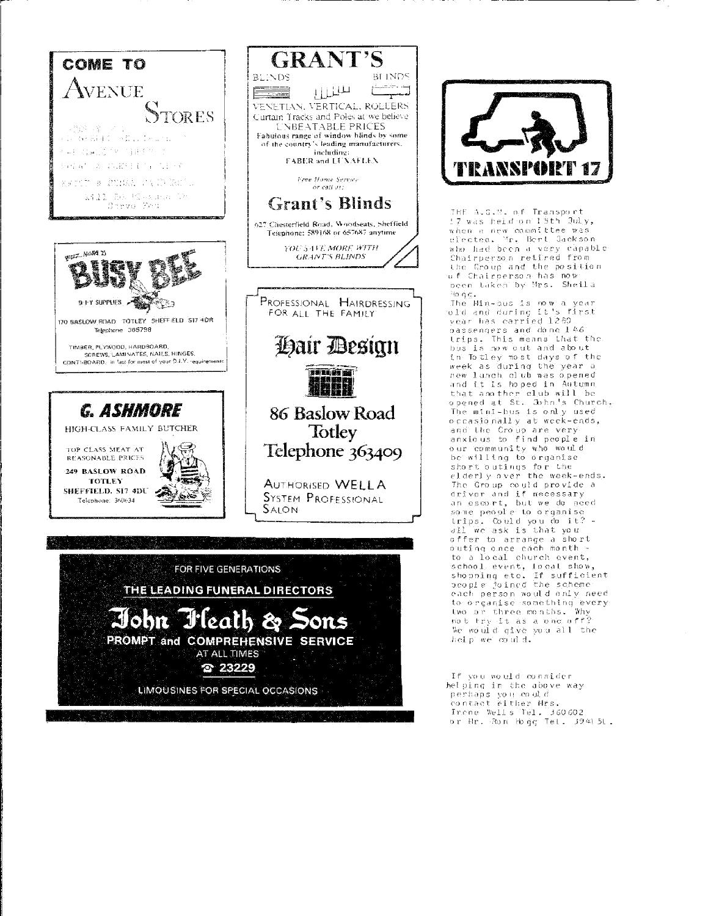



THE ALG.M. of Transport when a new committee was elected. Mr. Bert Jackson who had been a very capable Chairperson retired from the Croup and the position ine womp and ene positers<br>of Chairperson has now<br>been taken by Mrs. Sheila toine.

Thể Min-Sus is now a year old and during it's first vear has carried 1280 bassengers and done 146 trips, This means that the<br>bus is now out and about in To tley most days of the week as during the year a new lanch club was opened<br>and it is hoped in Autumn. that another club will be opened at St. John's Church, The mini-bus is only used o ccasió nally at week-ends, and the Croup are very<br>anxious to find people in our community who would be willing to organise short outings for the elderly over the week-ends. The Group could provide a driver and if necessary an escort, but we de noed<br>an escort, but we de noed<br>some people to organise trips. Could you do it?<br>trips. Could you do it?<br>all we ask is that you offer to arrange a short<br>buting once each month -<br>to a local church event, school event, local show,<br>shool event, local show,<br>shool event, local show, each person would only need to organise something every two art three months. Why not try it as a one off? We would give you all the<br>help we could.

If you would consider helping in the above way perhaps you could<br>contact either Mrs. Thene Wells Tel. 360602<br>or Br. Ron Hogg Tel. 324151.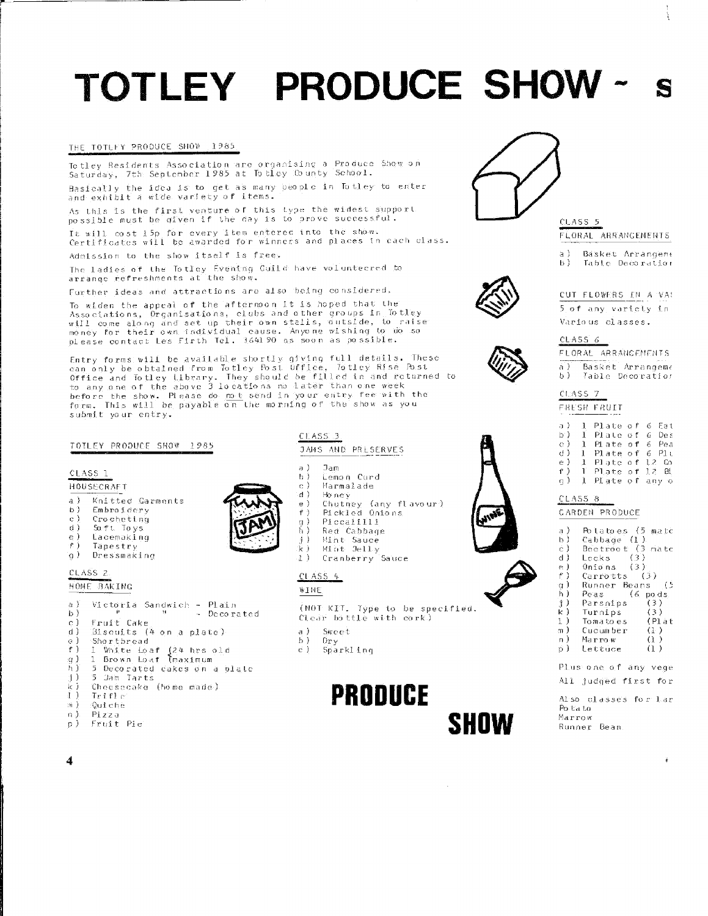# TOTLEY PRODUCE SHOW-

### THE TOTLEY PRODUCE SHOW 1985

Totley Residents Association are organising a Produce Show on<br>Saturday, 7th September 1985 at Totley County School. Basically the idea is to get as many beople in Totley to enter<br>and exhibit a wide variety of items.

As this is the first venture of this type the widest support. possible must be diven if the day is to prove successful.

It will cost 15p for every item entered into the show. Certificates will be awarded for winners and places in each class.

Admission to the show itself is free.

The ladies of the Totley Evening Cuild have volunteered to arrange refreshments at the show.

Further ideas and attractions are also being considered,

To widen the appeal of the afternoon it is hoped that the no wheen the appear of the arternoon it is hoped that the<br>Associations, Drganisations, clubs and other groups in Totley<br>will come along and set up their own stalls, outside, to raise<br>money for their own individual cause. A

Entry forms will be available shortly giving full details. These<br>can only be obtained from Totley Post Office, Totley Rise Post<br>Office and Totley Library. They should be filled in and returned to<br>to any one of the above 3 submit your entry.

#### TOILEY PRODUCE SHOW 1985

#### CLASS 1

 $\vec{B}$ 

e )

∙e i

 $a$ ).

 $\mathbf{b}$ )

 $c$ )

d)  $\circ$ )

 $F$  ) .g ) ÄТ

ri )

kі

4 D

 $m$ )

 $n$ ).

 $p$ )

CLASS<sub>2</sub>

HOME BAKING



a ) Knitted Garments  $h<sup>3</sup>$ Embroidery  $\mathbf{c}$ ) Crocheting

Victoria Sandwich - Plain

 $\mathbf{H}$ 

Biscuits (4 on a plate)

I White Loaf (24 hrs old<br>1 Brown Loaf (maximum

Checsecake (home made)

5 Decorated cakes on a plate

Soft Toys

Tapestry

g) Dressmaking

Lacemaking

Fruit Cake

Shortbread

5 Jam Tarts

 $TrifFer$ 

:Out che

Fruit Pie

Pizza

- Decorated

 $1.7.7.7.5$ ăź Red Cabbade  $j$ ) Mint Sauce

 $Jan$ 

Mint Jelly Cranberry Sauce

JAMS AND PRESERVES

Lemon Curd

 $CLASS 4$ 



- $\sim 5$ Sweet
- $h<sub>1</sub>$ Dr y
- c) Sparkling

# **PRODUCE**

SHOW



## $CLASS.5$

- FLORAL ARRANGEMENTS
- a) Básket Arrangeme Table Decoration Ь).



### CUT ELOWERS IN A VA! 5 of any variety in Various classes.



|     |  | FLORAE ARRANGEMENTS |
|-----|--|---------------------|
| a). |  | Basket Arrangeme    |
| b)  |  | Table Decoration    |

| CL ASS |  |  |
|--------|--|--|
|        |  |  |

| a E          | -1.          | Plate of 6 Eat      |                |
|--------------|--------------|---------------------|----------------|
|              |              | b) I Plate of 6 Des |                |
| $\circ$ )    | $\mathbf{1}$ |                     | Plate of 6 Pea |
| $\phi$ )     | $1^{\circ}$  | Plate of 6 Plu      |                |
| $\epsilon$ ) | $\mathbf{1}$ | Plate of 12 Go      |                |
|              |              | f) I Plate of 12 BL |                |
| $\alpha$ )   | $\mathbf{1}$ | Plate of any o      |                |

## CLASS 8

**GARDEN PRODUCE** 

| a )<br>b)  | Potatoes (5 matc                |                    |
|------------|---------------------------------|--------------------|
| ċ)         | Cabbage (1)<br>Beetroot (3 mate |                    |
| d I<br>e ) | Leeks (3)<br>Onions $(3)$       |                    |
| f)         | $Carrotts$ $(3)$                |                    |
| g)         | Runner Beans (5                 |                    |
| h)<br>j)   | 6<br>Peas<br>Parsnips           | po d s.<br>(3)     |
| k)         | Turnips                         | (3)                |
| 1)<br>mЭ   | Tomatoes                        | (Plat              |
| n).        | Cucumber<br>Marrow              | († )<br>$\alpha$ ) |
| Ď          | Lettuce                         | (1)                |

- Plus one of any vege
- All judged first for

Also classes for Lar Po ta to Marrow Runner Bean.

4





| c L  | Marmalade                                                            |
|------|----------------------------------------------------------------------|
| ਾਰ 1 | Ho ne v                                                              |
| e I  | Chutney (any flavour)                                                |
| f 1  | Pickled Onions                                                       |
|      | $D: \mathfrak{g} \to \mathfrak{g} \to \mathfrak{g} \to \mathfrak{g}$ |

CLASS<sub>3</sub>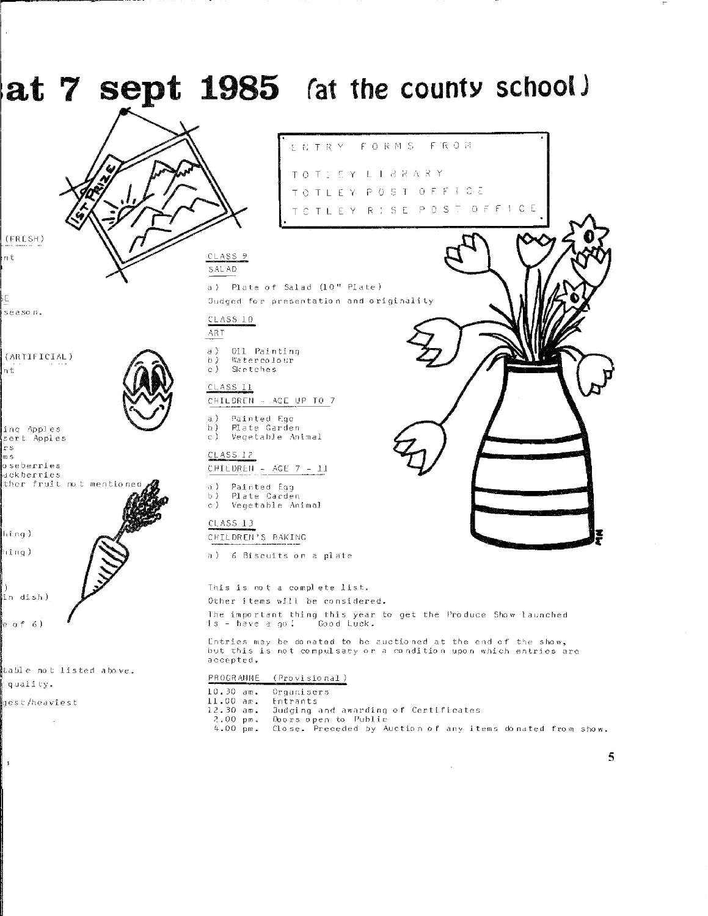

 $\mathbf{r}$ 

5

 $\sim$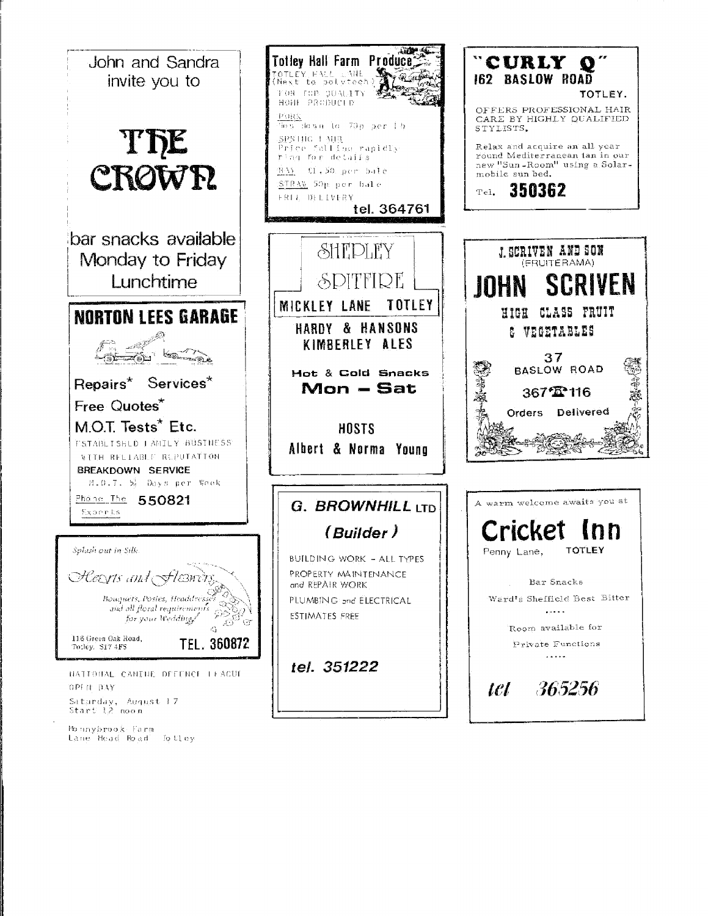

Monnybrook Farm<br>Lane Head Road folley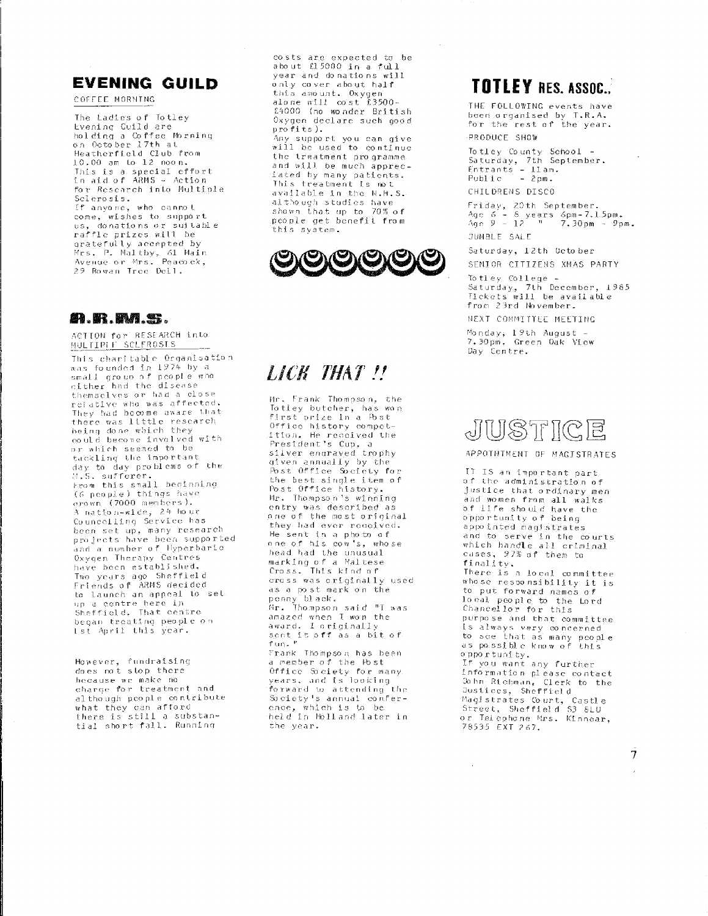## **EVENING GUILD**

COFFEE MORNING

The Ladies of Totley Evening Guild are holding a Coffee Morning on October 17th at Heatherfield Club from 10.00 am to 12 noon. .<br>This is a special effort in aid of ARMS – Action for Research into Multiple Sclerosis. If anyone, who cannot exposed by the same to see the come of the prize of the raffle prizes will be gratefully accepted by Wrs. P. Maltby, 61 Main<br>Mes. P. Maltby, 61 Main<br>Avenue or Mrs. Peacock,<br>29 Rowan Tree Dell.

## **91. Br. BM. 93.**

ACTION for RESEARCH into MULTIPLE SCLEROSIS

This charitable Organisation was founded in 1974 by a small group of people who<br>cither had the disease themselves or had a close refative who was affected. They had become aware that there was little research being done which they could become involved with or which seemed to be tackling the important day to day problems of the 8.S. sufferer. Erom this small beginning<br>(6 people) things have  $\overline{10000}$  members). À nation-wide, 24 hour n nayawn-miss ervice has<br>been set up, many research<br>projects have been supported and a number of Hyperbaric Oxvgen Therapy Centres have been established. Two years ago Sheffield<br>Friends of ARMS decided to launch an appeal to set to taunch an appear we support<br>up a centre here in<br>Sheffield, That centre<br>began treating people on Ist April this year.

However, fundraising<br>does not stop there hecause we make no<br>charge for theatment and although people contribute what they can afford<br>there is still a substantial short fall. Running

costs are expected to be<br>about £15000 in a full vear and donations will only cover about half this amount. Oxygen cars amount, oxygen<br>alone will co'st £3500-<br>£4000 (no wonder British Oxygen declare such good  $\overline{\text{profit}}$ 

Any support you can give<br>will be used to continue the treatment programme. and will be much appreciated by many patients. This treatment is not available in the N.H.S. although studies have shown that up to 70% of people get benefit from this svstem.



## LICK THAT !!

Mr. Frank Thompson, the To tley butcher, has won first prize in a fost Office history competorrace missury sempes<br>itton. He received the<br>President's Cup, a silver engraved trophy given annually by the Post Office Society for the best single item of Post Office history. Mr. Thompson's winning entry was described as<br>one of the most original they had ever received. He sent in a photo of one of his cow's, whose head had the unusual marking of a Maltese<br>Cross. This kind of cross was originally used as a post mark on the penny black.<br>Hr. Thompson said "I was amazed when I won the award, I originally isees → viagindiiy<br>sont it off as a bit of<br>fun<sub>s</sub> " Frank Thompson has been a member of the Host Office Society for many<br>years, and is looking<br>forward to attending the Society's annual conference, which is to be<br>held in Holland later in the year.

## **TOTLEY RES. ASSOC.**

THE FOLLOWING events have been origanised by T.R.A.<br>for the rest of the year. PRODUCE SHOW

Totley County School -<br>Saturday, 7th September.<br>Entrants - Llam.<br>Public - 2pm. CHILDRENS DISCO

Friday, 20th September.<br>Age 6 - 8 years 6pm-7.15pm.<br>Age 9 - 12 - "---7.30pm - 9pm.

**JUMBLE SALE** 

Saturday, 12th October SENIOR CITIZENS XMAS PARTY

To they College + Saturday, 7th December, 1985<br>Tickets will be available from 23rd November.

NEXT COMMITTEE MEETING

Monday, 19th August –<br>7.30pm, Green Oak View Day Centre.

## JUSTICE

### APPOTNTMENT OF MACISTRATES

IT IS an important part. of the administration of justice that ordinary men and women from all walks of life should have the<br>opportunity of being appointed magistrates and to serve in the courts,<br>which handle all criminal<br>cases, 27% of them to finality. There is a local committee whose responsibility it is to put forward names of local people to the Lord<br>Chancellor for this purpose and that committee is always very concerned to see that as many people<br>as possible know of this opportunity. If you want any further information please contact John Richman, Clerk to the Justices, Sheffield Magistrates Court, Castle<br>Street, Sheffield S3 8LU or Telephone Mrs. Kinnear, 78535 EXT 267.

Ī